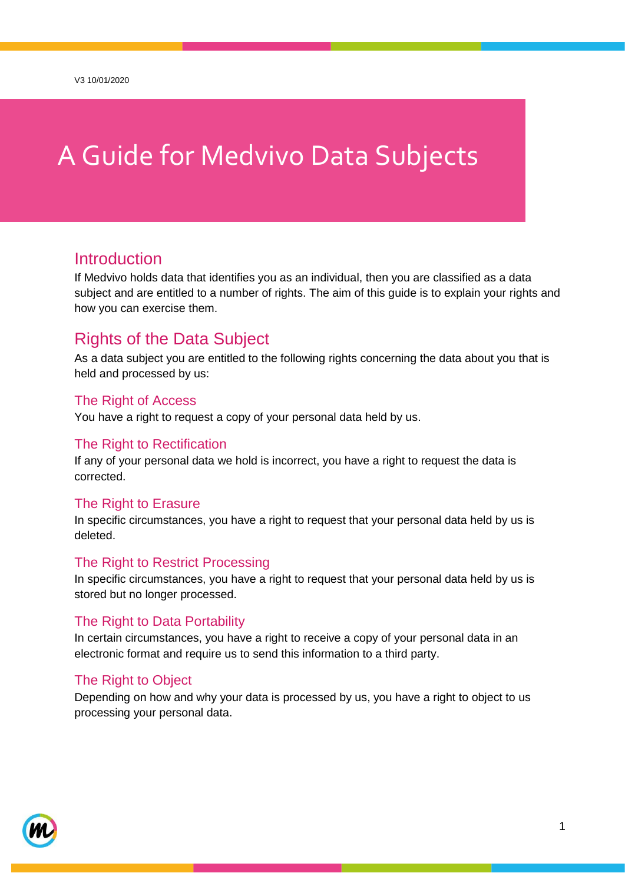# A Guide for Medvivo Data Subjects

## **Introduction**

If Medvivo holds data that identifies you as an individual, then you are classified as a data subject and are entitled to a number of rights. The aim of this guide is to explain your rights and how you can exercise them.

## Rights of the Data Subject

As a data subject you are entitled to the following rights concerning the data about you that is held and processed by us:

#### The Right of Access

You have a right to request a copy of your personal data held by us.

#### The Right to Rectification

If any of your personal data we hold is incorrect, you have a right to request the data is corrected.

#### The Right to Erasure

In specific circumstances, you have a right to request that your personal data held by us is deleted.

#### The Right to Restrict Processing

In specific circumstances, you have a right to request that your personal data held by us is stored but no longer processed.

#### The Right to Data Portability

In certain circumstances, you have a right to receive a copy of your personal data in an electronic format and require us to send this information to a third party.

#### The Right to Object

Depending on how and why your data is processed by us, you have a right to object to us processing your personal data.